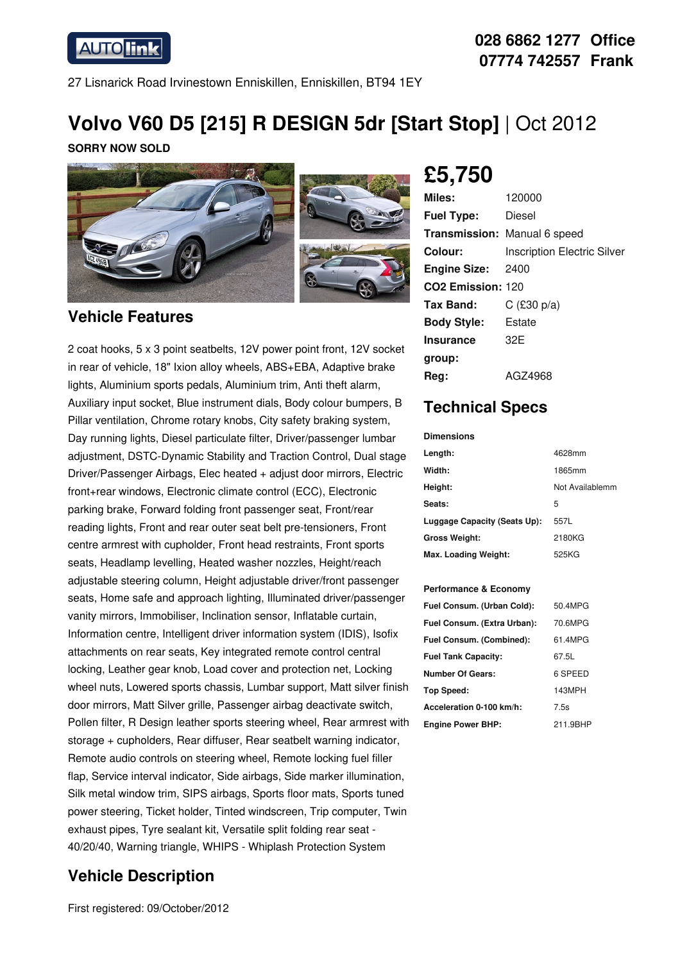**AUTO link** 

### **028 6862 1277 Office 07774 742557 Frank**

27 Lisnarick Road Irvinestown Enniskillen, Enniskillen, BT94 1EY

# **Volvo V60 D5 [215] R DESIGN 5dr [Start Stop]** | Oct 2012

**SORRY NOW SOLD**



#### **Vehicle Features**

2 coat hooks, 5 x 3 point seatbelts, 12V power point front, 12V socket in rear of vehicle, 18" Ixion alloy wheels, ABS+EBA, Adaptive brake lights, Aluminium sports pedals, Aluminium trim, Anti theft alarm, Auxiliary input socket, Blue instrument dials, Body colour bumpers, B Pillar ventilation, Chrome rotary knobs, City safety braking system, Day running lights, Diesel particulate filter, Driver/passenger lumbar adjustment, DSTC-Dynamic Stability and Traction Control, Dual stage Driver/Passenger Airbags, Elec heated + adjust door mirrors, Electric front+rear windows, Electronic climate control (ECC), Electronic parking brake, Forward folding front passenger seat, Front/rear reading lights, Front and rear outer seat belt pre-tensioners, Front centre armrest with cupholder, Front head restraints, Front sports seats, Headlamp levelling, Heated washer nozzles, Height/reach adjustable steering column, Height adjustable driver/front passenger seats, Home safe and approach lighting, Illuminated driver/passenger vanity mirrors, Immobiliser, Inclination sensor, Inflatable curtain, Information centre, Intelligent driver information system (IDIS), Isofix attachments on rear seats, Key integrated remote control central locking, Leather gear knob, Load cover and protection net, Locking wheel nuts, Lowered sports chassis, Lumbar support, Matt silver finish door mirrors, Matt Silver grille, Passenger airbag deactivate switch, Pollen filter, R Design leather sports steering wheel, Rear armrest with storage + cupholders, Rear diffuser, Rear seatbelt warning indicator, Remote audio controls on steering wheel, Remote locking fuel filler flap, Service interval indicator, Side airbags, Side marker illumination, Silk metal window trim, SIPS airbags, Sports floor mats, Sports tuned power steering, Ticket holder, Tinted windscreen, Trip computer, Twin exhaust pipes, Tyre sealant kit, Versatile split folding rear seat - 40/20/40, Warning triangle, WHIPS - Whiplash Protection System

### **Vehicle Description**

First registered: 09/October/2012

# **£5,750**

| Miles:                        | 120000                             |
|-------------------------------|------------------------------------|
| <b>Fuel Type:</b>             | Diesel                             |
|                               | Transmission: Manual 6 speed       |
| Colour:                       | <b>Inscription Electric Silver</b> |
| <b>Engine Size:</b>           | 2400                               |
| CO <sub>2</sub> Emission: 120 |                                    |
| Tax Band:                     | C $(£30 p/a)$                      |
| <b>Body Style:</b>            | Estate                             |
| <b>Insurance</b>              | 32F                                |
| group:                        |                                    |
| Reg:                          | AGZ4968                            |

## **Technical Specs**

| <b>Dimensions</b>            |                 |
|------------------------------|-----------------|
| Length:                      | 4628mm          |
| Width:                       | 1865mm          |
| Height:                      | Not Availablemm |
| Seats:                       | 5               |
| Luggage Capacity (Seats Up): | 557L            |
| <b>Gross Weight:</b>         | 2180KG          |
| Max. Loading Weight:         | 525KG           |

#### **Performance & Economy**

| Fuel Consum. (Urban Cold):  | 50.4MPG  |
|-----------------------------|----------|
| Fuel Consum. (Extra Urban): | 70.6MPG  |
| Fuel Consum. (Combined):    | 61.4MPG  |
| <b>Fuel Tank Capacity:</b>  | 67.5L    |
| <b>Number Of Gears:</b>     | 6 SPEED  |
| Top Speed:                  | 143MPH   |
| Acceleration 0-100 km/h:    | 7.5s     |
| <b>Engine Power BHP:</b>    | 211.9BHP |